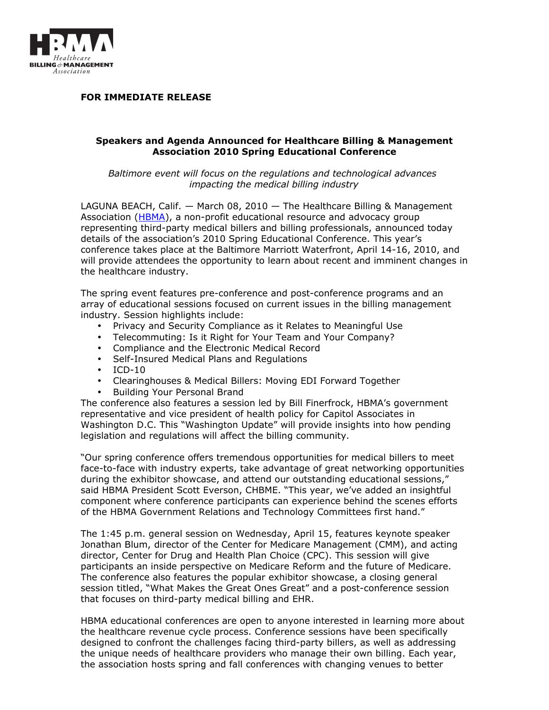

**FOR IMMEDIATE RELEASE**

## **Speakers and Agenda Announced for Healthcare Billing & Management Association 2010 Spring Educational Conference**

*Baltimore event will focus on the regulations and technological advances impacting the medical billing industry*

LAGUNA BEACH, Calif. — March 08, 2010 — The Healthcare Billing & Management Association [\(HBMA\)](http://www.hbma.org/), a non-profit educational resource and advocacy group representing third-party medical billers and billing professionals, announced today details of the association's 2010 Spring Educational Conference. This year's conference takes place at the Baltimore Marriott Waterfront, April 14-16, 2010, and will provide attendees the opportunity to learn about recent and imminent changes in the healthcare industry.

The spring event features pre-conference and post-conference programs and an array of educational sessions focused on current issues in the billing management industry. Session highlights include:

- Privacy and Security Compliance as it Relates to Meaningful Use
- Telecommuting: Is it Right for Your Team and Your Company?
- Compliance and the Electronic Medical Record
- Self-Insured Medical Plans and Regulations
- ICD-10
- Clearinghouses & Medical Billers: Moving EDI Forward Together
- Building Your Personal Brand

The conference also features a session led by Bill Finerfrock, HBMA's government representative and vice president of health policy for Capitol Associates in Washington D.C. This "Washington Update" will provide insights into how pending legislation and regulations will affect the billing community.

"Our spring conference offers tremendous opportunities for medical billers to meet face-to-face with industry experts, take advantage of great networking opportunities during the exhibitor showcase, and attend our outstanding educational sessions," said HBMA President Scott Everson, CHBME. "This year, we've added an insightful component where conference participants can experience behind the scenes efforts of the HBMA Government Relations and Technology Committees first hand."

The 1:45 p.m. general session on Wednesday, April 15, features keynote speaker Jonathan Blum, director of the Center for Medicare Management (CMM), and acting director, Center for Drug and Health Plan Choice (CPC). This session will give participants an inside perspective on Medicare Reform and the future of Medicare. The conference also features the popular exhibitor showcase, a closing general session titled, "What Makes the Great Ones Great" and a post-conference session that focuses on third-party medical billing and EHR.

HBMA educational conferences are open to anyone interested in learning more about the healthcare revenue cycle process. Conference sessions have been specifically designed to confront the challenges facing third-party billers, as well as addressing the unique needs of healthcare providers who manage their own billing. Each year, the association hosts spring and fall conferences with changing venues to better